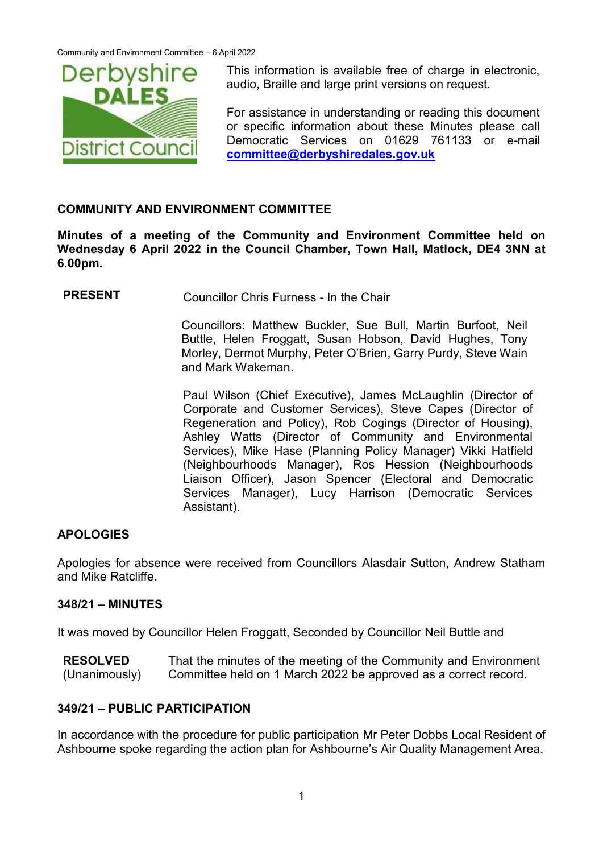

This information is available free of charge in electronic, audio, Braille and large print versions on request.

For assistance in understanding or reading this document or specific information about these Minutes please call Democratic Services on 01629 761133 or e-mail **[committee@derbyshiredales.gov.uk](mailto:committee@derbyshiredales.gov.uk)**

## **COMMUNITY AND ENVIRONMENT COMMITTEE**

**Minutes of a meeting of the Community and Environment Committee held on Wednesday 6 April 2022 in the Council Chamber, Town Hall, Matlock, DE4 3NN at 6.00pm.**

**PRESENT** Councillor Chris Furness - In the Chair

Councillors: Matthew Buckler, Sue Bull, Martin Burfoot, Neil Buttle, Helen Froggatt, Susan Hobson, David Hughes, Tony Morley, Dermot Murphy, Peter O'Brien, Garry Purdy, Steve Wain and Mark Wakeman.

Paul Wilson (Chief Executive), James McLaughlin (Director of Corporate and Customer Services), Steve Capes (Director of Regeneration and Policy), Rob Cogings (Director of Housing), Ashley Watts (Director of Community and Environmental Services), Mike Hase (Planning Policy Manager) Vikki Hatfield (Neighbourhoods Manager), Ros Hession (Neighbourhoods Liaison Officer), Jason Spencer (Electoral and Democratic Services Manager), Lucy Harrison (Democratic Services Assistant).

#### **APOLOGIES**

Apologies for absence were received from Councillors Alasdair Sutton, Andrew Statham and Mike Ratcliffe.

#### **348/21 – MINUTES**

It was moved by Councillor Helen Froggatt, Seconded by Councillor Neil Buttle and

**RESOLVED** (Unanimously) That the minutes of the meeting of the Community and Environment Committee held on 1 March 2022 be approved as a correct record.

#### **349/21 – PUBLIC PARTICIPATION**

In accordance with the procedure for public participation Mr Peter Dobbs Local Resident of Ashbourne spoke regarding the action plan for Ashbourne's Air Quality Management Area.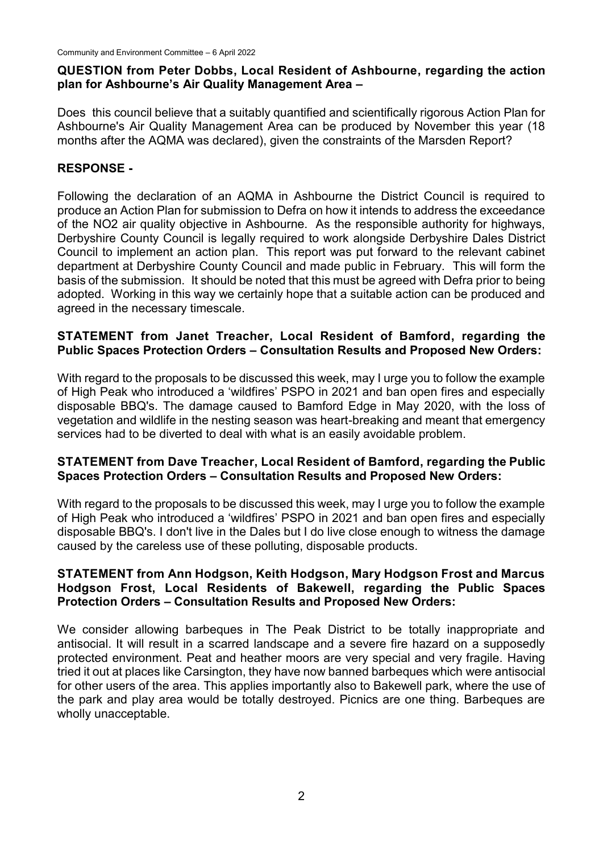## **QUESTION from Peter Dobbs, Local Resident of Ashbourne, regarding the action plan for Ashbourne's Air Quality Management Area –**

Does this council believe that a suitably quantified and scientifically rigorous Action Plan for Ashbourne's Air Quality Management Area can be produced by November this year (18 months after the AQMA was declared), given the constraints of the Marsden Report?

# **RESPONSE -**

Following the declaration of an AQMA in Ashbourne the District Council is required to produce an Action Plan for submission to Defra on how it intends to address the exceedance of the NO2 air quality objective in Ashbourne. As the responsible authority for highways, Derbyshire County Council is legally required to work alongside Derbyshire Dales District Council to implement an action plan. This report was put forward to the relevant cabinet department at Derbyshire County Council and made public in February. This will form the basis of the submission. It should be noted that this must be agreed with Defra prior to being adopted. Working in this way we certainly hope that a suitable action can be produced and agreed in the necessary timescale.

## **STATEMENT from Janet Treacher, Local Resident of Bamford, regarding the Public Spaces Protection Orders – Consultation Results and Proposed New Orders:**

With regard to the proposals to be discussed this week, may I urge you to follow the example of High Peak who introduced a 'wildfires' PSPO in 2021 and ban open fires and especially disposable BBQ's. The damage caused to Bamford Edge in May 2020, with the loss of vegetation and wildlife in the nesting season was heart-breaking and meant that emergency services had to be diverted to deal with what is an easily avoidable problem.

## **STATEMENT from Dave Treacher, Local Resident of Bamford, regarding the Public Spaces Protection Orders – Consultation Results and Proposed New Orders:**

With regard to the proposals to be discussed this week, may I urge you to follow the example of High Peak who introduced a 'wildfires' PSPO in 2021 and ban open fires and especially disposable BBQ's. I don't live in the Dales but I do live close enough to witness the damage caused by the careless use of these polluting, disposable products.

## **STATEMENT from Ann Hodgson, Keith Hodgson, Mary Hodgson Frost and Marcus Hodgson Frost, Local Residents of Bakewell, regarding the Public Spaces Protection Orders – Consultation Results and Proposed New Orders:**

We consider allowing barbeques in The Peak District to be totally inappropriate and antisocial. It will result in a scarred landscape and a severe fire hazard on a supposedly protected environment. Peat and heather moors are very special and very fragile. Having tried it out at places like Carsington, they have now banned barbeques which were antisocial for other users of the area. This applies importantly also to Bakewell park, where the use of the park and play area would be totally destroyed. Picnics are one thing. Barbeques are wholly unacceptable.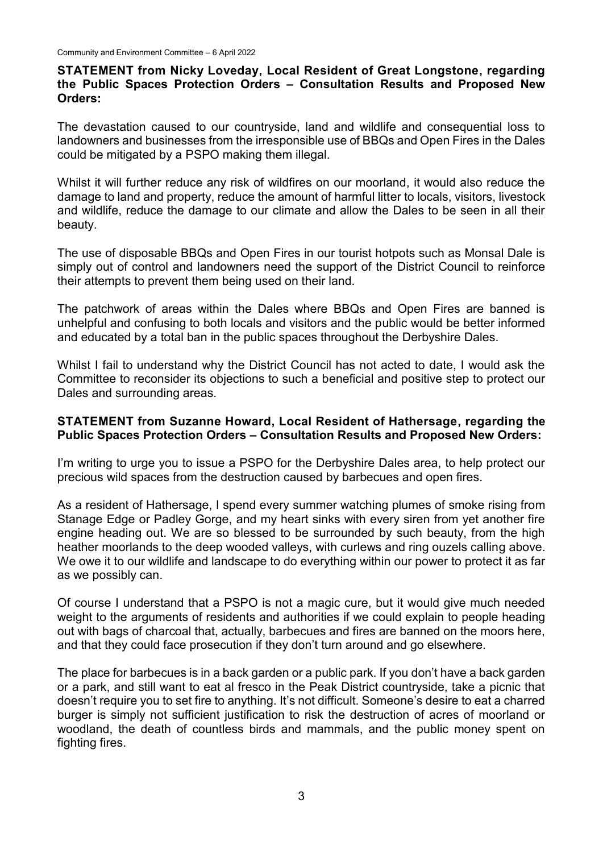#### **STATEMENT from Nicky Loveday, Local Resident of Great Longstone, regarding the Public Spaces Protection Orders – Consultation Results and Proposed New Orders:**

The devastation caused to our countryside, land and wildlife and consequential loss to landowners and businesses from the irresponsible use of BBQs and Open Fires in the Dales could be mitigated by a PSPO making them illegal.

Whilst it will further reduce any risk of wildfires on our moorland, it would also reduce the damage to land and property, reduce the amount of harmful litter to locals, visitors, livestock and wildlife, reduce the damage to our climate and allow the Dales to be seen in all their beauty.

The use of disposable BBQs and Open Fires in our tourist hotpots such as Monsal Dale is simply out of control and landowners need the support of the District Council to reinforce their attempts to prevent them being used on their land.

The patchwork of areas within the Dales where BBQs and Open Fires are banned is unhelpful and confusing to both locals and visitors and the public would be better informed and educated by a total ban in the public spaces throughout the Derbyshire Dales.

Whilst I fail to understand why the District Council has not acted to date, I would ask the Committee to reconsider its objections to such a beneficial and positive step to protect our Dales and surrounding areas.

#### **STATEMENT from Suzanne Howard, Local Resident of Hathersage, regarding the Public Spaces Protection Orders – Consultation Results and Proposed New Orders:**

I'm writing to urge you to issue a PSPO for the Derbyshire Dales area, to help protect our precious wild spaces from the destruction caused by barbecues and open fires.

As a resident of Hathersage, I spend every summer watching plumes of smoke rising from Stanage Edge or Padley Gorge, and my heart sinks with every siren from yet another fire engine heading out. We are so blessed to be surrounded by such beauty, from the high heather moorlands to the deep wooded valleys, with curlews and ring ouzels calling above. We owe it to our wildlife and landscape to do everything within our power to protect it as far as we possibly can.

Of course I understand that a PSPO is not a magic cure, but it would give much needed weight to the arguments of residents and authorities if we could explain to people heading out with bags of charcoal that, actually, barbecues and fires are banned on the moors here, and that they could face prosecution if they don't turn around and go elsewhere.

The place for barbecues is in a back garden or a public park. If you don't have a back garden or a park, and still want to eat al fresco in the Peak District countryside, take a picnic that doesn't require you to set fire to anything. It's not difficult. Someone's desire to eat a charred burger is simply not sufficient justification to risk the destruction of acres of moorland or woodland, the death of countless birds and mammals, and the public money spent on fighting fires.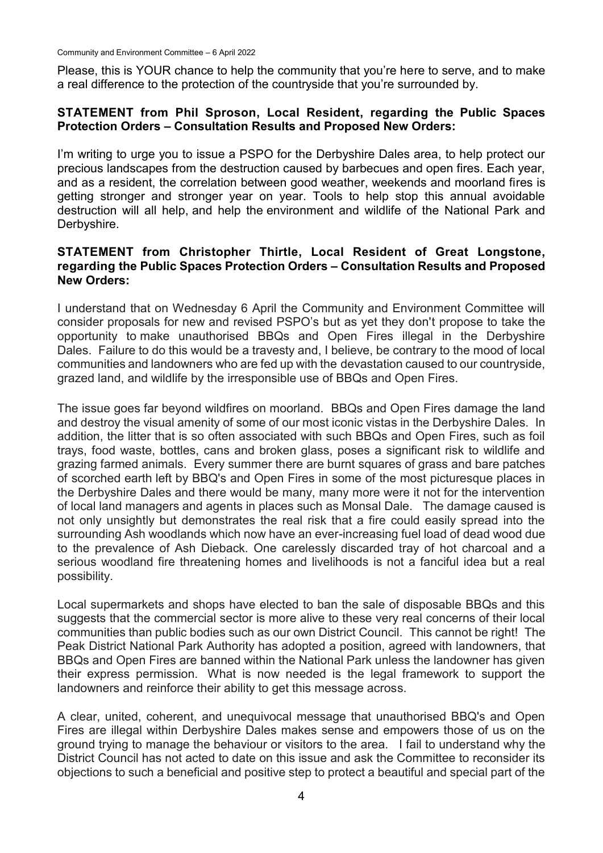Community and Environment Committee – 6 April 2022

Please, this is YOUR chance to help the community that you're here to serve, and to make a real difference to the protection of the countryside that you're surrounded by.

#### **STATEMENT from Phil Sproson, Local Resident, regarding the Public Spaces Protection Orders – Consultation Results and Proposed New Orders:**

I'm writing to urge you to issue a PSPO for the Derbyshire Dales area, to help protect our precious landscapes from the destruction caused by barbecues and open fires. Each year, and as a resident, the correlation between good weather, weekends and moorland fires is getting stronger and stronger year on year. Tools to help stop this annual avoidable destruction will all help, and help the environment and wildlife of the National Park and Derbyshire.

#### **STATEMENT from Christopher Thirtle, Local Resident of Great Longstone, regarding the Public Spaces Protection Orders – Consultation Results and Proposed New Orders:**

I understand that on Wednesday 6 April the Community and Environment Committee will consider proposals for new and revised PSPO's but as yet they don't propose to take the opportunity to make unauthorised BBQs and Open Fires illegal in the Derbyshire Dales. Failure to do this would be a travesty and, I believe, be contrary to the mood of local communities and landowners who are fed up with the devastation caused to our countryside, grazed land, and wildlife by the irresponsible use of BBQs and Open Fires.

The issue goes far beyond wildfires on moorland. BBQs and Open Fires damage the land and destroy the visual amenity of some of our most iconic vistas in the Derbyshire Dales. In addition, the litter that is so often associated with such BBQs and Open Fires, such as foil trays, food waste, bottles, cans and broken glass, poses a significant risk to wildlife and grazing farmed animals. Every summer there are burnt squares of grass and bare patches of scorched earth left by BBQ's and Open Fires in some of the most picturesque places in the Derbyshire Dales and there would be many, many more were it not for the intervention of local land managers and agents in places such as Monsal Dale. The damage caused is not only unsightly but demonstrates the real risk that a fire could easily spread into the surrounding Ash woodlands which now have an ever-increasing fuel load of dead wood due to the prevalence of Ash Dieback. One carelessly discarded tray of hot charcoal and a serious woodland fire threatening homes and livelihoods is not a fanciful idea but a real possibility.

Local supermarkets and shops have elected to ban the sale of disposable BBQs and this suggests that the commercial sector is more alive to these very real concerns of their local communities than public bodies such as our own District Council. This cannot be right! The Peak District National Park Authority has adopted a position, agreed with landowners, that BBQs and Open Fires are banned within the National Park unless the landowner has given their express permission. What is now needed is the legal framework to support the landowners and reinforce their ability to get this message across.

A clear, united, coherent, and unequivocal message that unauthorised BBQ's and Open Fires are illegal within Derbyshire Dales makes sense and empowers those of us on the ground trying to manage the behaviour or visitors to the area. I fail to understand why the District Council has not acted to date on this issue and ask the Committee to reconsider its objections to such a beneficial and positive step to protect a beautiful and special part of the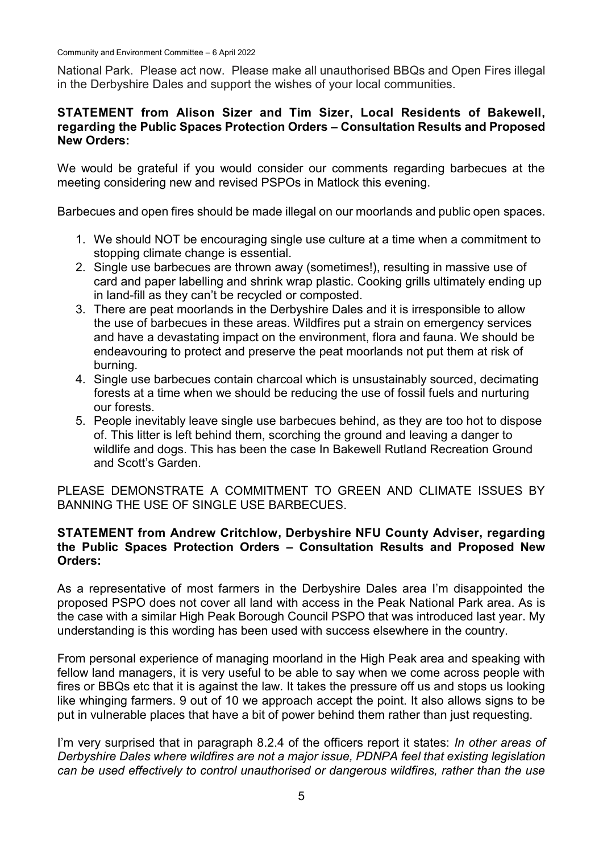National Park. Please act now. Please make all unauthorised BBQs and Open Fires illegal in the Derbyshire Dales and support the wishes of your local communities.

#### **STATEMENT from Alison Sizer and Tim Sizer, Local Residents of Bakewell, regarding the Public Spaces Protection Orders – Consultation Results and Proposed New Orders:**

We would be grateful if you would consider our comments regarding barbecues at the meeting considering new and revised PSPOs in Matlock this evening.

Barbecues and open fires should be made illegal on our moorlands and public open spaces.

- 1. We should NOT be encouraging single use culture at a time when a commitment to stopping climate change is essential.
- 2. Single use barbecues are thrown away (sometimes!), resulting in massive use of card and paper labelling and shrink wrap plastic. Cooking grills ultimately ending up in land-fill as they can't be recycled or composted.
- 3. There are peat moorlands in the Derbyshire Dales and it is irresponsible to allow the use of barbecues in these areas. Wildfires put a strain on emergency services and have a devastating impact on the environment, flora and fauna. We should be endeavouring to protect and preserve the peat moorlands not put them at risk of burning.
- 4. Single use barbecues contain charcoal which is unsustainably sourced, decimating forests at a time when we should be reducing the use of fossil fuels and nurturing our forests.
- 5. People inevitably leave single use barbecues behind, as they are too hot to dispose of. This litter is left behind them, scorching the ground and leaving a danger to wildlife and dogs. This has been the case In Bakewell Rutland Recreation Ground and Scott's Garden.

PLEASE DEMONSTRATE A COMMITMENT TO GREEN AND CLIMATE ISSUES BY BANNING THE USE OF SINGLE USE BARBECUES.

#### **STATEMENT from Andrew Critchlow, Derbyshire NFU County Adviser, regarding the Public Spaces Protection Orders – Consultation Results and Proposed New Orders:**

As a representative of most farmers in the Derbyshire Dales area I'm disappointed the proposed PSPO does not cover all land with access in the Peak National Park area. As is the case with a similar High Peak Borough Council PSPO that was introduced last year. My understanding is this wording has been used with success elsewhere in the country.

From personal experience of managing moorland in the High Peak area and speaking with fellow land managers, it is very useful to be able to say when we come across people with fires or BBQs etc that it is against the law. It takes the pressure off us and stops us looking like whinging farmers. 9 out of 10 we approach accept the point. It also allows signs to be put in vulnerable places that have a bit of power behind them rather than just requesting.

I'm very surprised that in paragraph 8.2.4 of the officers report it states: *In other areas of Derbyshire Dales where wildfires are not a major issue, PDNPA feel that existing legislation can be used effectively to control unauthorised or dangerous wildfires, rather than the use*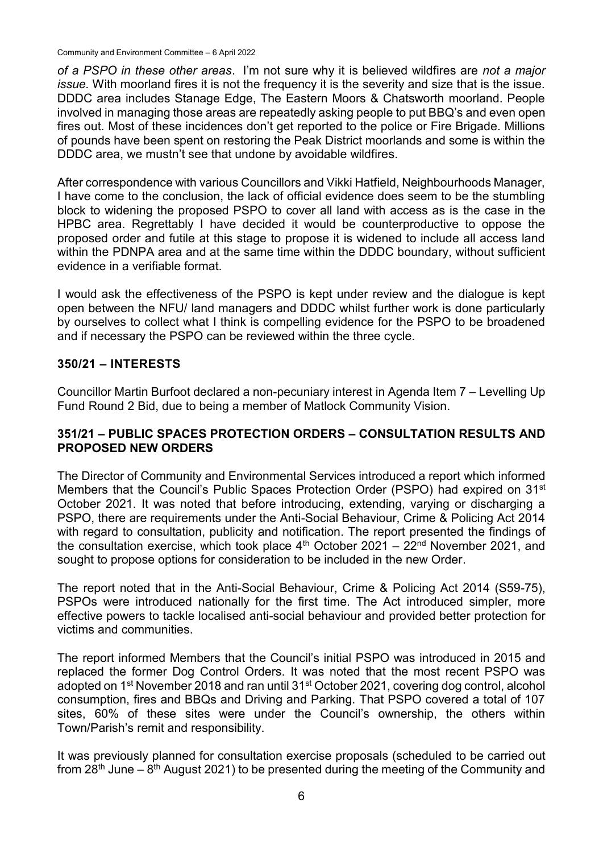Community and Environment Committee – 6 April 2022

*of a PSPO in these other areas*. I'm not sure why it is believed wildfires are *not a major issue.* With moorland fires it is not the frequency it is the severity and size that is the issue. DDDC area includes Stanage Edge, The Eastern Moors & Chatsworth moorland. People involved in managing those areas are repeatedly asking people to put BBQ's and even open fires out. Most of these incidences don't get reported to the police or Fire Brigade. Millions of pounds have been spent on restoring the Peak District moorlands and some is within the DDDC area, we mustn't see that undone by avoidable wildfires.

After correspondence with various Councillors and Vikki Hatfield, Neighbourhoods Manager, I have come to the conclusion, the lack of official evidence does seem to be the stumbling block to widening the proposed PSPO to cover all land with access as is the case in the HPBC area. Regrettably I have decided it would be counterproductive to oppose the proposed order and futile at this stage to propose it is widened to include all access land within the PDNPA area and at the same time within the DDDC boundary, without sufficient evidence in a verifiable format.

I would ask the effectiveness of the PSPO is kept under review and the dialogue is kept open between the NFU/ land managers and DDDC whilst further work is done particularly by ourselves to collect what I think is compelling evidence for the PSPO to be broadened and if necessary the PSPO can be reviewed within the three cycle.

## **350/21 – INTERESTS**

Councillor Martin Burfoot declared a non-pecuniary interest in Agenda Item 7 – Levelling Up Fund Round 2 Bid, due to being a member of Matlock Community Vision.

#### **351/21 – PUBLIC SPACES PROTECTION ORDERS – CONSULTATION RESULTS AND PROPOSED NEW ORDERS**

The Director of Community and Environmental Services introduced a report which informed Members that the Council's Public Spaces Protection Order (PSPO) had expired on 31<sup>st</sup> October 2021. It was noted that before introducing, extending, varying or discharging a PSPO, there are requirements under the Anti-Social Behaviour, Crime & Policing Act 2014 with regard to consultation, publicity and notification. The report presented the findings of the consultation exercise, which took place  $4<sup>th</sup>$  October 2021 – 22<sup>nd</sup> November 2021, and sought to propose options for consideration to be included in the new Order.

The report noted that in the Anti-Social Behaviour, Crime & Policing Act 2014 (S59-75), PSPOs were introduced nationally for the first time. The Act introduced simpler, more effective powers to tackle localised anti-social behaviour and provided better protection for victims and communities.

The report informed Members that the Council's initial PSPO was introduced in 2015 and replaced the former Dog Control Orders. It was noted that the most recent PSPO was adopted on 1<sup>st</sup> November 2018 and ran until 31<sup>st</sup> October 2021, covering dog control, alcohol consumption, fires and BBQs and Driving and Parking. That PSPO covered a total of 107 sites, 60% of these sites were under the Council's ownership, the others within Town/Parish's remit and responsibility.

It was previously planned for consultation exercise proposals (scheduled to be carried out from 28<sup>th</sup> June – 8<sup>th</sup> August 2021) to be presented during the meeting of the Community and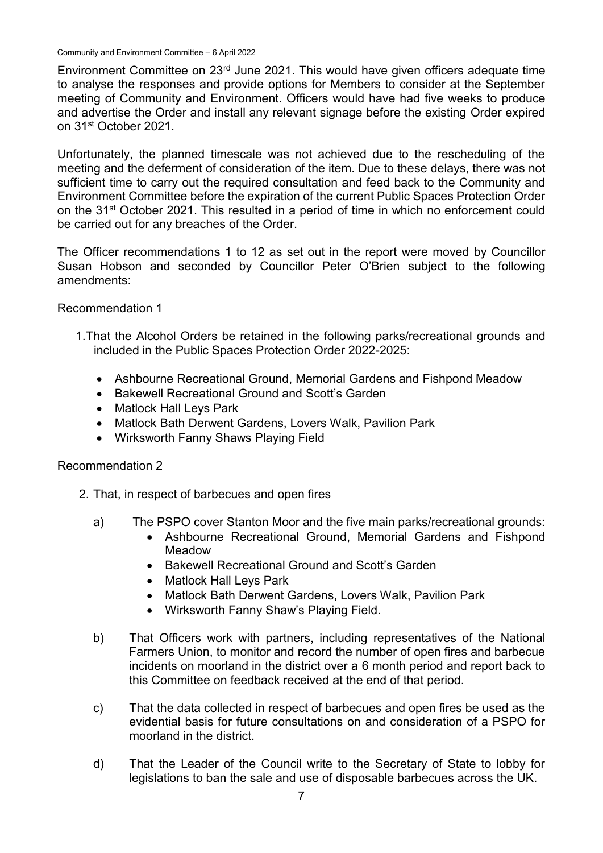Environment Committee on 23rd June 2021. This would have given officers adequate time to analyse the responses and provide options for Members to consider at the September meeting of Community and Environment. Officers would have had five weeks to produce and advertise the Order and install any relevant signage before the existing Order expired on 31st October 2021.

Unfortunately, the planned timescale was not achieved due to the rescheduling of the meeting and the deferment of consideration of the item. Due to these delays, there was not sufficient time to carry out the required consultation and feed back to the Community and Environment Committee before the expiration of the current Public Spaces Protection Order on the 31<sup>st</sup> October 2021. This resulted in a period of time in which no enforcement could be carried out for any breaches of the Order.

The Officer recommendations 1 to 12 as set out in the report were moved by Councillor Susan Hobson and seconded by Councillor Peter O'Brien subject to the following amendments:

Recommendation 1

- 1.That the Alcohol Orders be retained in the following parks/recreational grounds and included in the Public Spaces Protection Order 2022-2025:
	- Ashbourne Recreational Ground, Memorial Gardens and Fishpond Meadow
	- Bakewell Recreational Ground and Scott's Garden
	- Matlock Hall Levs Park
	- Matlock Bath Derwent Gardens, Lovers Walk, Pavilion Park
	- Wirksworth Fanny Shaws Playing Field

#### Recommendation 2

- 2. That, in respect of barbecues and open fires
	- a) The PSPO cover Stanton Moor and the five main parks/recreational grounds:
		- Ashbourne Recreational Ground, Memorial Gardens and Fishpond Meadow
		- Bakewell Recreational Ground and Scott's Garden
		- Matlock Hall Leys Park
		- Matlock Bath Derwent Gardens, Lovers Walk, Pavilion Park
		- Wirksworth Fanny Shaw's Playing Field.
	- b) That Officers work with partners, including representatives of the National Farmers Union, to monitor and record the number of open fires and barbecue incidents on moorland in the district over a 6 month period and report back to this Committee on feedback received at the end of that period.
	- c) That the data collected in respect of barbecues and open fires be used as the evidential basis for future consultations on and consideration of a PSPO for moorland in the district.
	- d) That the Leader of the Council write to the Secretary of State to lobby for legislations to ban the sale and use of disposable barbecues across the UK.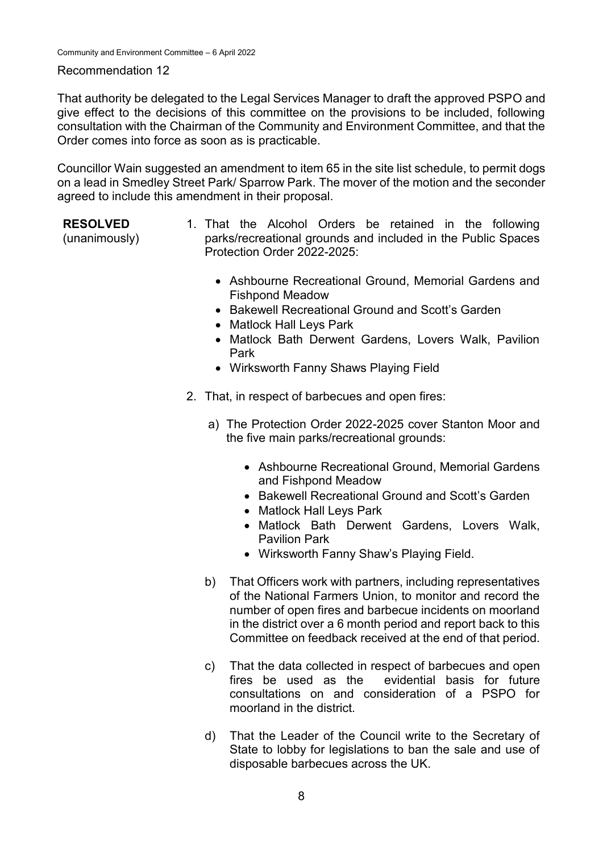#### Recommendation 12

That authority be delegated to the Legal Services Manager to draft the approved PSPO and give effect to the decisions of this committee on the provisions to be included, following consultation with the Chairman of the Community and Environment Committee, and that the Order comes into force as soon as is practicable.

Councillor Wain suggested an amendment to item 65 in the site list schedule, to permit dogs on a lead in Smedley Street Park/ Sparrow Park. The mover of the motion and the seconder agreed to include this amendment in their proposal.

#### **RESOLVED**

(unanimously)

- 1. That the Alcohol Orders be retained in the following parks/recreational grounds and included in the Public Spaces Protection Order 2022-2025:
	- Ashbourne Recreational Ground, Memorial Gardens and Fishpond Meadow
	- Bakewell Recreational Ground and Scott's Garden
	- Matlock Hall Leys Park
	- Matlock Bath Derwent Gardens, Lovers Walk, Pavilion Park
	- Wirksworth Fanny Shaws Playing Field
- 2. That, in respect of barbecues and open fires:
	- a) The Protection Order 2022-2025 cover Stanton Moor and the five main parks/recreational grounds:
		- Ashbourne Recreational Ground, Memorial Gardens and Fishpond Meadow
		- Bakewell Recreational Ground and Scott's Garden
		- Matlock Hall Leys Park
		- Matlock Bath Derwent Gardens, Lovers Walk, Pavilion Park
		- Wirksworth Fanny Shaw's Playing Field.
	- b) That Officers work with partners, including representatives of the National Farmers Union, to monitor and record the number of open fires and barbecue incidents on moorland in the district over a 6 month period and report back to this Committee on feedback received at the end of that period.
	- c) That the data collected in respect of barbecues and open fires be used as the evidential basis for future consultations on and consideration of a PSPO for moorland in the district.
	- d) That the Leader of the Council write to the Secretary of State to lobby for legislations to ban the sale and use of disposable barbecues across the UK.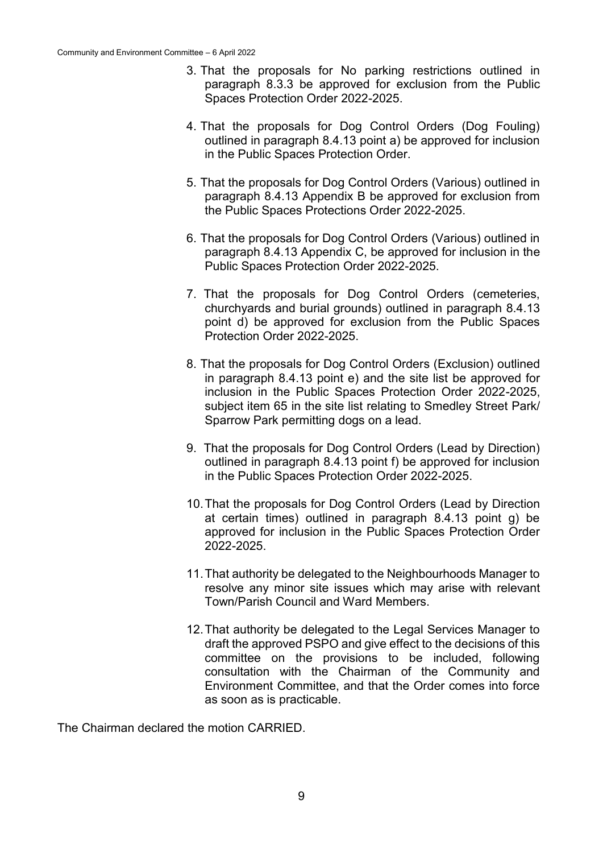- 3. That the proposals for No parking restrictions outlined in paragraph 8.3.3 be approved for exclusion from the Public Spaces Protection Order 2022-2025.
- 4. That the proposals for Dog Control Orders (Dog Fouling) outlined in paragraph 8.4.13 point a) be approved for inclusion in the Public Spaces Protection Order.
- 5. That the proposals for Dog Control Orders (Various) outlined in paragraph 8.4.13 Appendix B be approved for exclusion from the Public Spaces Protections Order 2022-2025.
- 6. That the proposals for Dog Control Orders (Various) outlined in paragraph 8.4.13 Appendix C, be approved for inclusion in the Public Spaces Protection Order 2022-2025.
- 7. That the proposals for Dog Control Orders (cemeteries, churchyards and burial grounds) outlined in paragraph 8.4.13 point d) be approved for exclusion from the Public Spaces Protection Order 2022-2025.
- 8. That the proposals for Dog Control Orders (Exclusion) outlined in paragraph 8.4.13 point e) and the site list be approved for inclusion in the Public Spaces Protection Order 2022-2025, subject item 65 in the site list relating to Smedley Street Park/ Sparrow Park permitting dogs on a lead.
- 9. That the proposals for Dog Control Orders (Lead by Direction) outlined in paragraph 8.4.13 point f) be approved for inclusion in the Public Spaces Protection Order 2022-2025.
- 10.That the proposals for Dog Control Orders (Lead by Direction at certain times) outlined in paragraph 8.4.13 point g) be approved for inclusion in the Public Spaces Protection Order 2022-2025.
- 11.That authority be delegated to the Neighbourhoods Manager to resolve any minor site issues which may arise with relevant Town/Parish Council and Ward Members.
- 12.That authority be delegated to the Legal Services Manager to draft the approved PSPO and give effect to the decisions of this committee on the provisions to be included, following consultation with the Chairman of the Community and Environment Committee, and that the Order comes into force as soon as is practicable.

The Chairman declared the motion CARRIED.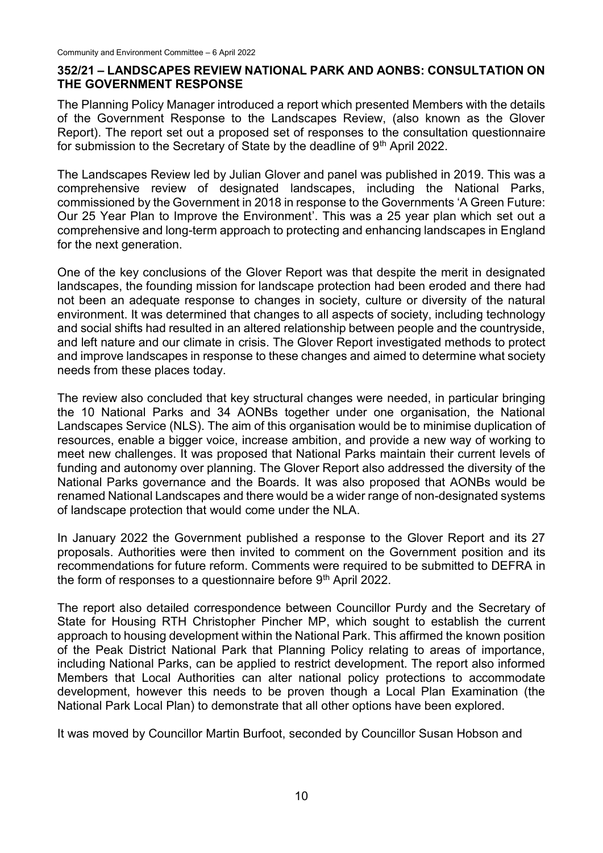#### **352/21 – LANDSCAPES REVIEW NATIONAL PARK AND AONBS: CONSULTATION ON THE GOVERNMENT RESPONSE**

The Planning Policy Manager introduced a report which presented Members with the details of the Government Response to the Landscapes Review, (also known as the Glover Report). The report set out a proposed set of responses to the consultation questionnaire for submission to the Secretary of State by the deadline of 9<sup>th</sup> April 2022.

The Landscapes Review led by Julian Glover and panel was published in 2019. This was a comprehensive review of designated landscapes, including the National Parks, commissioned by the Government in 2018 in response to the Governments 'A Green Future: Our 25 Year Plan to Improve the Environment'. This was a 25 year plan which set out a comprehensive and long-term approach to protecting and enhancing landscapes in England for the next generation.

One of the key conclusions of the Glover Report was that despite the merit in designated landscapes, the founding mission for landscape protection had been eroded and there had not been an adequate response to changes in society, culture or diversity of the natural environment. It was determined that changes to all aspects of society, including technology and social shifts had resulted in an altered relationship between people and the countryside, and left nature and our climate in crisis. The Glover Report investigated methods to protect and improve landscapes in response to these changes and aimed to determine what society needs from these places today.

The review also concluded that key structural changes were needed, in particular bringing the 10 National Parks and 34 AONBs together under one organisation, the National Landscapes Service (NLS). The aim of this organisation would be to minimise duplication of resources, enable a bigger voice, increase ambition, and provide a new way of working to meet new challenges. It was proposed that National Parks maintain their current levels of funding and autonomy over planning. The Glover Report also addressed the diversity of the National Parks governance and the Boards. It was also proposed that AONBs would be renamed National Landscapes and there would be a wider range of non-designated systems of landscape protection that would come under the NLA.

In January 2022 the Government published a response to the Glover Report and its 27 proposals. Authorities were then invited to comment on the Government position and its recommendations for future reform. Comments were required to be submitted to DEFRA in the form of responses to a questionnaire before 9<sup>th</sup> April 2022.

The report also detailed correspondence between Councillor Purdy and the Secretary of State for Housing RTH Christopher Pincher MP, which sought to establish the current approach to housing development within the National Park. This affirmed the known position of the Peak District National Park that Planning Policy relating to areas of importance, including National Parks, can be applied to restrict development. The report also informed Members that Local Authorities can alter national policy protections to accommodate development, however this needs to be proven though a Local Plan Examination (the National Park Local Plan) to demonstrate that all other options have been explored.

It was moved by Councillor Martin Burfoot, seconded by Councillor Susan Hobson and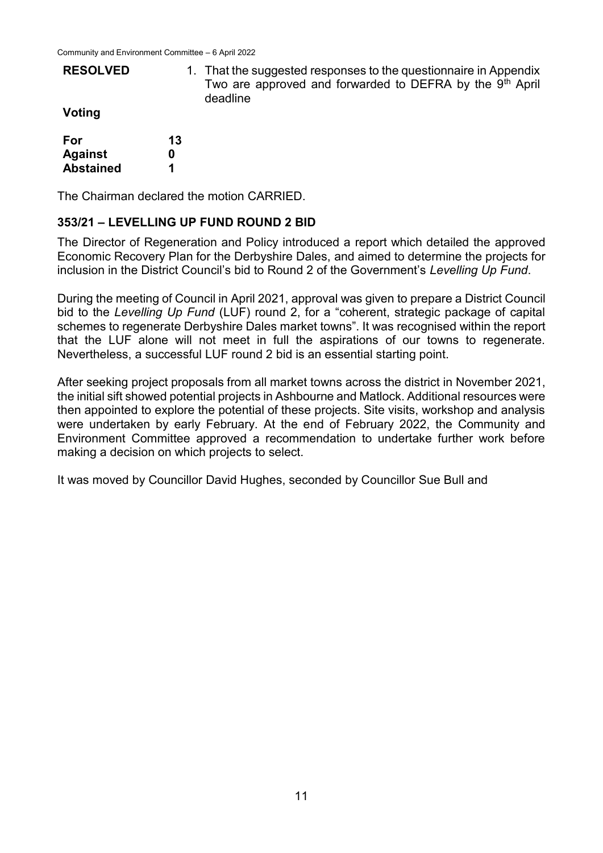**Abstained**

| <b>RESOLVED</b> |    | 1. That the suggested responses to the questionnaire in Appendix<br>Two are approved and forwarded to DEFRA by the 9 <sup>th</sup> April<br>deadline |
|-----------------|----|------------------------------------------------------------------------------------------------------------------------------------------------------|
| Voting          |    |                                                                                                                                                      |
| For             | 13 |                                                                                                                                                      |
| <b>Against</b>  |    |                                                                                                                                                      |

The Chairman declared the motion CARRIED.

**1**

#### **353/21 – LEVELLING UP FUND ROUND 2 BID**

The Director of Regeneration and Policy introduced a report which detailed the approved Economic Recovery Plan for the Derbyshire Dales, and aimed to determine the projects for inclusion in the District Council's bid to Round 2 of the Government's *Levelling Up Fund*.

During the meeting of Council in April 2021, approval was given to prepare a District Council bid to the *Levelling Up Fund* (LUF) round 2, for a "coherent, strategic package of capital schemes to regenerate Derbyshire Dales market towns". It was recognised within the report that the LUF alone will not meet in full the aspirations of our towns to regenerate. Nevertheless, a successful LUF round 2 bid is an essential starting point.

After seeking project proposals from all market towns across the district in November 2021, the initial sift showed potential projects in Ashbourne and Matlock. Additional resources were then appointed to explore the potential of these projects. Site visits, workshop and analysis were undertaken by early February. At the end of February 2022, the Community and Environment Committee approved a recommendation to undertake further work before making a decision on which projects to select.

It was moved by Councillor David Hughes, seconded by Councillor Sue Bull and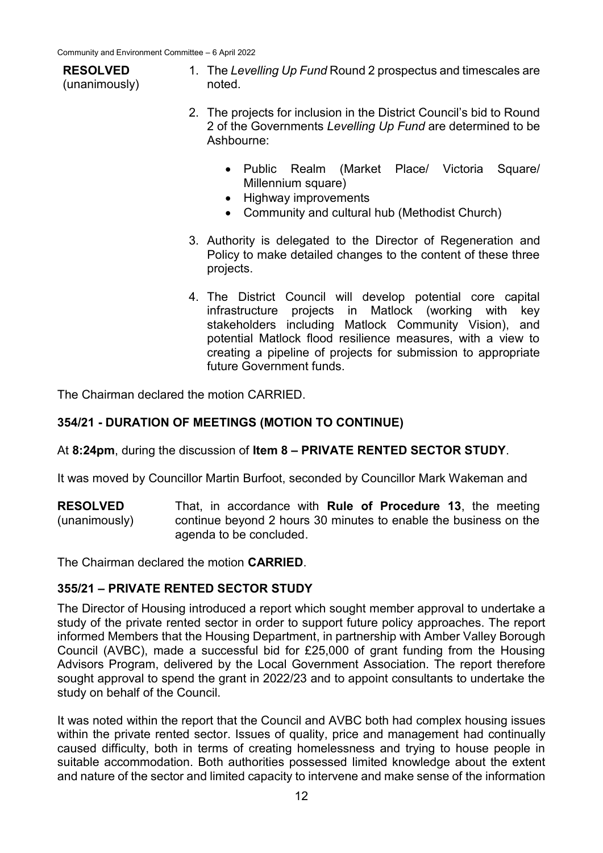# **RESOLVED**

(unanimously)

- 1. The *Levelling Up Fund* Round 2 prospectus and timescales are noted.
- 2. The projects for inclusion in the District Council's bid to Round 2 of the Governments *Levelling Up Fund* are determined to be Ashbourne:
	- Public Realm (Market Place/ Victoria Square/ Millennium square)
	- Highway improvements
	- Community and cultural hub (Methodist Church)
- 3. Authority is delegated to the Director of Regeneration and Policy to make detailed changes to the content of these three projects.
- 4. The District Council will develop potential core capital infrastructure projects in Matlock (working with key stakeholders including Matlock Community Vision), and potential Matlock flood resilience measures, with a view to creating a pipeline of projects for submission to appropriate future Government funds.

The Chairman declared the motion CARRIED.

## **354/21 - DURATION OF MEETINGS (MOTION TO CONTINUE)**

At **8:24pm**, during the discussion of **Item 8 – PRIVATE RENTED SECTOR STUDY**.

It was moved by Councillor Martin Burfoot, seconded by Councillor Mark Wakeman and

**RESOLVED** (unanimously) That, in accordance with **Rule of Procedure 13**, the meeting continue beyond 2 hours 30 minutes to enable the business on the agenda to be concluded.

The Chairman declared the motion **CARRIED**.

## **355/21 – PRIVATE RENTED SECTOR STUDY**

The Director of Housing introduced a report which sought member approval to undertake a study of the private rented sector in order to support future policy approaches. The report informed Members that the Housing Department, in partnership with Amber Valley Borough Council (AVBC), made a successful bid for £25,000 of grant funding from the Housing Advisors Program, delivered by the Local Government Association. The report therefore sought approval to spend the grant in 2022/23 and to appoint consultants to undertake the study on behalf of the Council.

It was noted within the report that the Council and AVBC both had complex housing issues within the private rented sector. Issues of quality, price and management had continually caused difficulty, both in terms of creating homelessness and trying to house people in suitable accommodation. Both authorities possessed limited knowledge about the extent and nature of the sector and limited capacity to intervene and make sense of the information